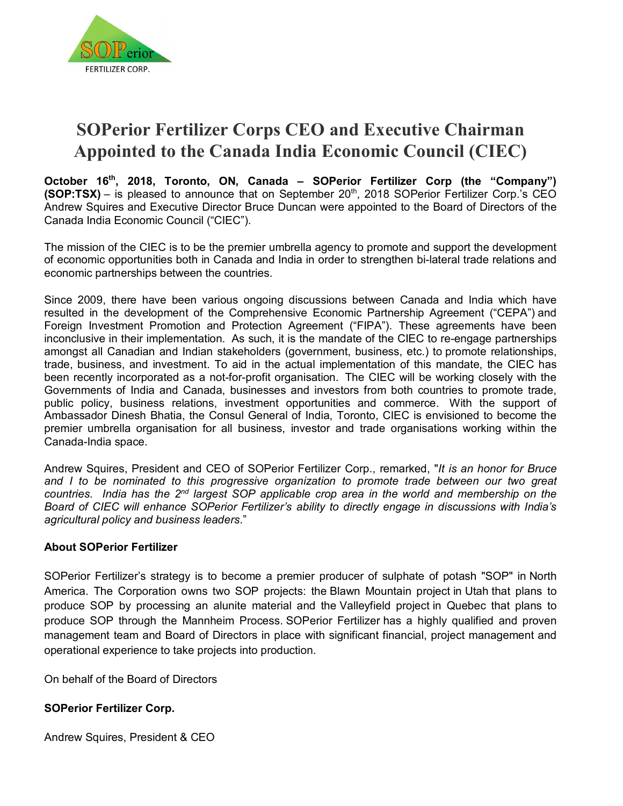

# **SOPerior Fertilizer Corps CEO and Executive Chairman Appointed to the Canada India Economic Council (CIEC)**

**October 16th, 2018, Toronto, ON, Canada – SOPerior Fertilizer Corp (the "Company") (SOP:TSX)** – is pleased to announce that on September 20<sup>th</sup>, 2018 SOPerior Fertilizer Corp.'s CEO Andrew Squires and Executive Director Bruce Duncan were appointed to the Board of Directors of the Canada India Economic Council ("CIEC").

The mission of the CIEC is to be the premier umbrella agency to promote and support the development of economic opportunities both in Canada and India in order to strengthen bi-lateral trade relations and economic partnerships between the countries.

Since 2009, there have been various ongoing discussions between Canada and India which have resulted in the development of the Comprehensive Economic Partnership Agreement ("CEPA") and Foreign Investment Promotion and Protection Agreement ("FIPA"). These agreements have been inconclusive in their implementation. As such, it is the mandate of the CIEC to re-engage partnerships amongst all Canadian and Indian stakeholders (government, business, etc.) to promote relationships, trade, business, and investment. To aid in the actual implementation of this mandate, the CIEC has been recently incorporated as a not-for-profit organisation. The CIEC will be working closely with the Governments of India and Canada, businesses and investors from both countries to promote trade, public policy, business relations, investment opportunities and commerce. With the support of Ambassador Dinesh Bhatia, the Consul General of India, Toronto, CIEC is envisioned to become the premier umbrella organisation for all business, investor and trade organisations working within the Canada-India space.

Andrew Squires, President and CEO of SOPerior Fertilizer Corp., remarked, "*It is an honor for Bruce*  and I to be nominated to this progressive organization to promote trade between our two great *countries. India has the 2nd largest SOP applicable crop area in the world and membership on the Board of CIEC will enhance SOPerior Fertilizer's ability to directly engage in discussions with India's agricultural policy and business leaders*."

### **About SOPerior Fertilizer**

SOPerior Fertilizer's strategy is to become a premier producer of sulphate of potash "SOP" in North America. The Corporation owns two SOP projects: the Blawn Mountain project in Utah that plans to produce SOP by processing an alunite material and the Valleyfield project in Quebec that plans to produce SOP through the Mannheim Process. SOPerior Fertilizer has a highly qualified and proven management team and Board of Directors in place with significant financial, project management and operational experience to take projects into production.

On behalf of the Board of Directors

### **SOPerior Fertilizer Corp.**

Andrew Squires, President & CEO